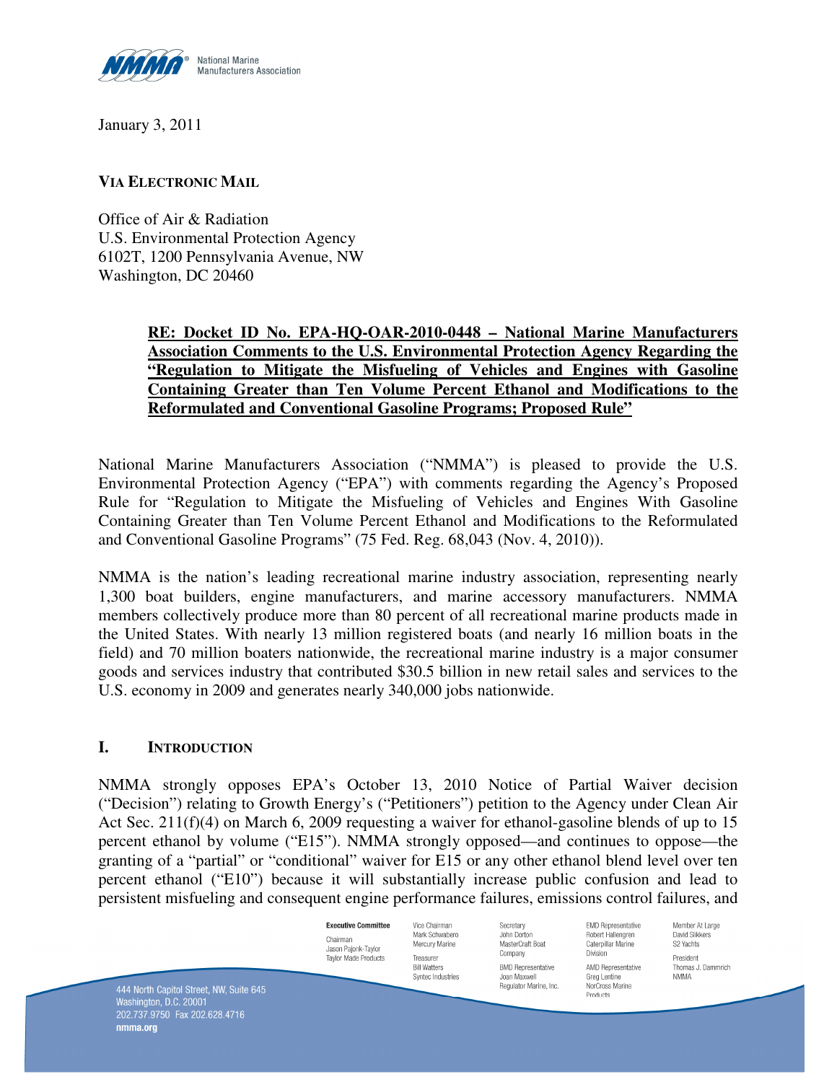

January 3, 2011

#### **VIA ELECTRONIC MAIL**

Office of Air & Radiation U.S. Environmental Protection Agency 6102T, 1200 Pennsylvania Avenue, NW Washington, DC 20460

## **RE: Docket ID No. EPA-HQ-OAR-2010-0448 – National Marine Manufacturers Association Comments to the U.S. Environmental Protection Agency Regarding the "Regulation to Mitigate the Misfueling of Vehicles and Engines with Gasoline Containing Greater than Ten Volume Percent Ethanol and Modifications to the Reformulated and Conventional Gasoline Programs; Proposed Rule"**

National Marine Manufacturers Association ("NMMA") is pleased to provide the U.S. Environmental Protection Agency ("EPA") with comments regarding the Agency's Proposed Rule for "Regulation to Mitigate the Misfueling of Vehicles and Engines With Gasoline Containing Greater than Ten Volume Percent Ethanol and Modifications to the Reformulated and Conventional Gasoline Programs" (75 Fed. Reg. 68,043 (Nov. 4, 2010)).

NMMA is the nation's leading recreational marine industry association, representing nearly 1,300 boat builders, engine manufacturers, and marine accessory manufacturers. NMMA members collectively produce more than 80 percent of all recreational marine products made in the United States. With nearly 13 million registered boats (and nearly 16 million boats in the field) and 70 million boaters nationwide, the recreational marine industry is a major consumer goods and services industry that contributed \$30.5 billion in new retail sales and services to the U.S. economy in 2009 and generates nearly 340,000 jobs nationwide.

## **I. INTRODUCTION**

NMMA strongly opposes EPA's October 13, 2010 Notice of Partial Waiver decision ("Decision") relating to Growth Energy's ("Petitioners") petition to the Agency under Clean Air Act Sec. 211(f)(4) on March 6, 2009 requesting a waiver for ethanol-gasoline blends of up to 15 percent ethanol by volume ("E15"). NMMA strongly opposed—and continues to oppose—the granting of a "partial" or "conditional" waiver for E15 or any other ethanol blend level over ten percent ethanol ("E10") because it will substantially increase public confusion and lead to persistent misfueling and consequent engine performance failures, emissions control failures, and

Vice Chairman

Mark Schwaberd

Mercury Marine

Syntec Industries

Treasurer

**Bill Watters** 

**Executive Committee** Chairman Jason Pajonk-Taylor **Taylor Made Products** 

Secretary John Dorton MasterCraft Boat Company **BMD Representative** Inan Maxwell Regulator Marine, Inc. **FMD Representative** Robert Hallengren Cateroillar Marine Division AMD Representative Grea Lentine NorCross Marine Products

Member At Large David Slikkers S2 Yachts President Thomas J. Dammrich **NMMA** 

444 North Capitol Street, NW, Suite 645<br>Washington, D.C. 20001 202.737.9750 Fax 202.628.4716 nmma.org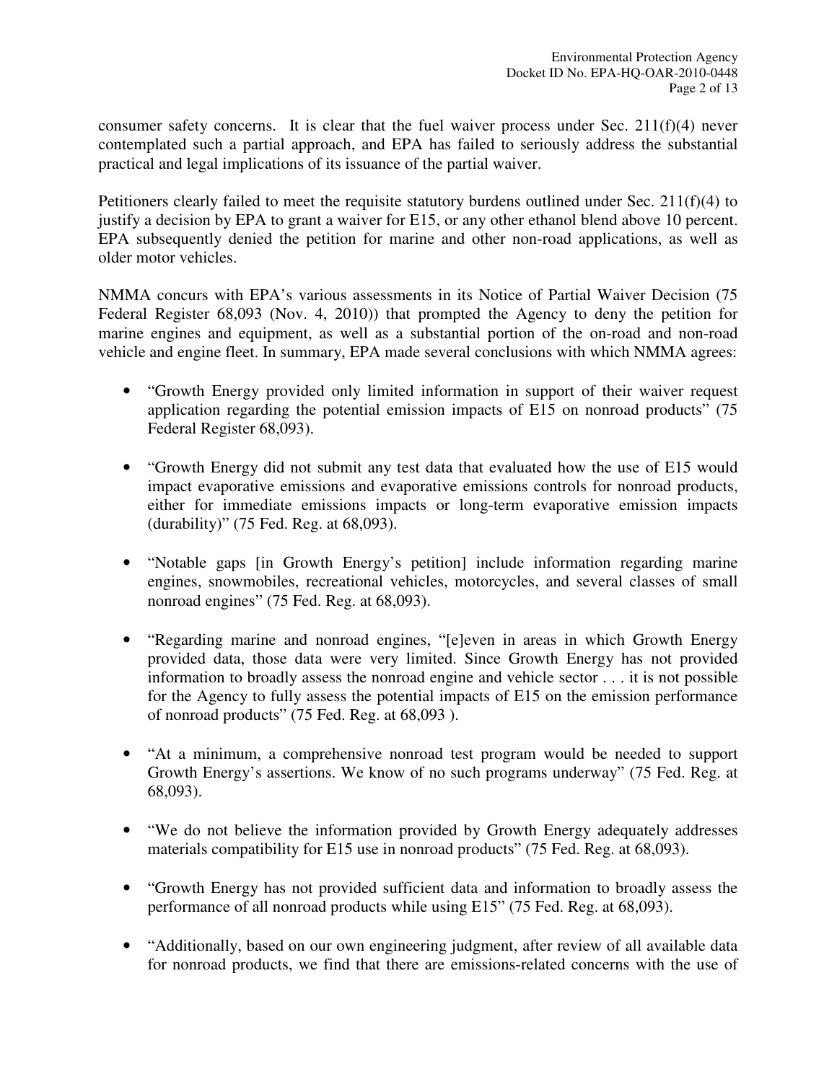consumer safety concerns. It is clear that the fuel waiver process under Sec.  $211(f)(4)$  never contemplated such a partial approach, and EPA has failed to seriously address the substantial practical and legal implications of its issuance of the partial waiver.

Petitioners clearly failed to meet the requisite statutory burdens outlined under Sec. 211(f)(4) to justify a decision by EPA to grant a waiver for E15, or any other ethanol blend above 10 percent. EPA subsequently denied the petition for marine and other non-road applications, as well as older motor vehicles.

NMMA concurs with EPA's various assessments in its Notice of Partial Waiver Decision (75 Federal Register 68,093 (Nov. 4, 2010)) that prompted the Agency to deny the petition for marine engines and equipment, as well as a substantial portion of the on-road and non-road vehicle and engine fleet. In summary, EPA made several conclusions with which NMMA agrees:

- "Growth Energy provided only limited information in support of their waiver request application regarding the potential emission impacts of E15 on nonroad products" (75 Federal Register 68,093).
- "Growth Energy did not submit any test data that evaluated how the use of E15 would impact evaporative emissions and evaporative emissions controls for nonroad products, either for immediate emissions impacts or long-term evaporative emission impacts (durability)" (75 Fed. Reg. at 68,093).
- "Notable gaps [in Growth Energy's petition] include information regarding marine engines, snowmobiles, recreational vehicles, motorcycles, and several classes of small nonroad engines" (75 Fed. Reg. at 68,093).
- "Regarding marine and nonroad engines, "[e]even in areas in which Growth Energy provided data, those data were very limited. Since Growth Energy has not provided information to broadly assess the nonroad engine and vehicle sector . . . it is not possible for the Agency to fully assess the potential impacts of E15 on the emission performance of nonroad products" (75 Fed. Reg. at 68,093 ).
- "At a minimum, a comprehensive nonroad test program would be needed to support Growth Energy's assertions. We know of no such programs underway" (75 Fed. Reg. at 68,093).
- "We do not believe the information provided by Growth Energy adequately addresses materials compatibility for E15 use in nonroad products" (75 Fed. Reg. at 68,093).
- "Growth Energy has not provided sufficient data and information to broadly assess the performance of all nonroad products while using E15" (75 Fed. Reg. at 68,093).
- "Additionally, based on our own engineering judgment, after review of all available data for nonroad products, we find that there are emissions-related concerns with the use of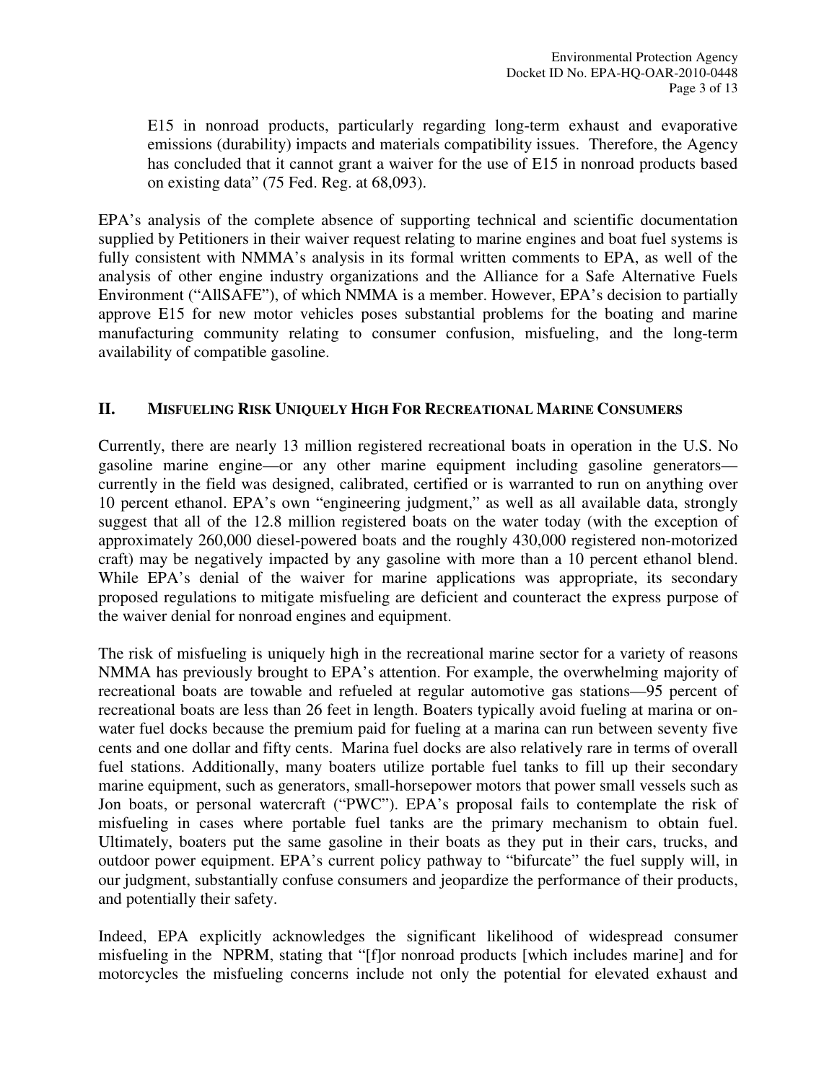E15 in nonroad products, particularly regarding long-term exhaust and evaporative emissions (durability) impacts and materials compatibility issues. Therefore, the Agency has concluded that it cannot grant a waiver for the use of E15 in nonroad products based on existing data" (75 Fed. Reg. at 68,093).

EPA's analysis of the complete absence of supporting technical and scientific documentation supplied by Petitioners in their waiver request relating to marine engines and boat fuel systems is fully consistent with NMMA's analysis in its formal written comments to EPA, as well of the analysis of other engine industry organizations and the Alliance for a Safe Alternative Fuels Environment ("AllSAFE"), of which NMMA is a member. However, EPA's decision to partially approve E15 for new motor vehicles poses substantial problems for the boating and marine manufacturing community relating to consumer confusion, misfueling, and the long-term availability of compatible gasoline.

#### **II. MISFUELING RISK UNIQUELY HIGH FOR RECREATIONAL MARINE CONSUMERS**

Currently, there are nearly 13 million registered recreational boats in operation in the U.S. No gasoline marine engine—or any other marine equipment including gasoline generators currently in the field was designed, calibrated, certified or is warranted to run on anything over 10 percent ethanol. EPA's own "engineering judgment," as well as all available data, strongly suggest that all of the 12.8 million registered boats on the water today (with the exception of approximately 260,000 diesel-powered boats and the roughly 430,000 registered non-motorized craft) may be negatively impacted by any gasoline with more than a 10 percent ethanol blend. While EPA's denial of the waiver for marine applications was appropriate, its secondary proposed regulations to mitigate misfueling are deficient and counteract the express purpose of the waiver denial for nonroad engines and equipment.

The risk of misfueling is uniquely high in the recreational marine sector for a variety of reasons NMMA has previously brought to EPA's attention. For example, the overwhelming majority of recreational boats are towable and refueled at regular automotive gas stations—95 percent of recreational boats are less than 26 feet in length. Boaters typically avoid fueling at marina or onwater fuel docks because the premium paid for fueling at a marina can run between seventy five cents and one dollar and fifty cents. Marina fuel docks are also relatively rare in terms of overall fuel stations. Additionally, many boaters utilize portable fuel tanks to fill up their secondary marine equipment, such as generators, small-horsepower motors that power small vessels such as Jon boats, or personal watercraft ("PWC"). EPA's proposal fails to contemplate the risk of misfueling in cases where portable fuel tanks are the primary mechanism to obtain fuel. Ultimately, boaters put the same gasoline in their boats as they put in their cars, trucks, and outdoor power equipment. EPA's current policy pathway to "bifurcate" the fuel supply will, in our judgment, substantially confuse consumers and jeopardize the performance of their products, and potentially their safety.

Indeed, EPA explicitly acknowledges the significant likelihood of widespread consumer misfueling in the NPRM, stating that "[f]or nonroad products [which includes marine] and for motorcycles the misfueling concerns include not only the potential for elevated exhaust and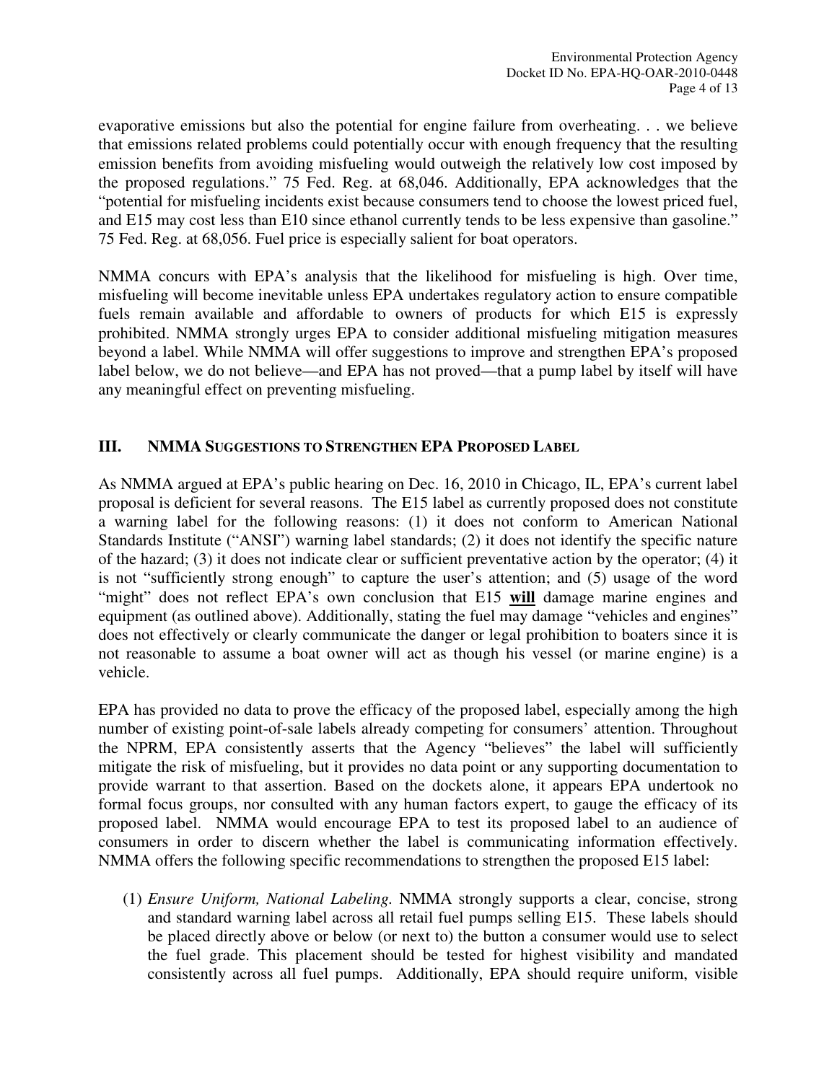evaporative emissions but also the potential for engine failure from overheating. . . we believe that emissions related problems could potentially occur with enough frequency that the resulting emission benefits from avoiding misfueling would outweigh the relatively low cost imposed by the proposed regulations." 75 Fed. Reg. at 68,046. Additionally, EPA acknowledges that the "potential for misfueling incidents exist because consumers tend to choose the lowest priced fuel, and E15 may cost less than E10 since ethanol currently tends to be less expensive than gasoline." 75 Fed. Reg. at 68,056. Fuel price is especially salient for boat operators.

NMMA concurs with EPA's analysis that the likelihood for misfueling is high. Over time, misfueling will become inevitable unless EPA undertakes regulatory action to ensure compatible fuels remain available and affordable to owners of products for which E15 is expressly prohibited. NMMA strongly urges EPA to consider additional misfueling mitigation measures beyond a label. While NMMA will offer suggestions to improve and strengthen EPA's proposed label below, we do not believe—and EPA has not proved—that a pump label by itself will have any meaningful effect on preventing misfueling.

## **III. NMMA SUGGESTIONS TO STRENGTHEN EPA PROPOSED LABEL**

As NMMA argued at EPA's public hearing on Dec. 16, 2010 in Chicago, IL, EPA's current label proposal is deficient for several reasons. The E15 label as currently proposed does not constitute a warning label for the following reasons: (1) it does not conform to American National Standards Institute ("ANSI") warning label standards; (2) it does not identify the specific nature of the hazard; (3) it does not indicate clear or sufficient preventative action by the operator; (4) it is not "sufficiently strong enough" to capture the user's attention; and (5) usage of the word "might" does not reflect EPA's own conclusion that E15 **will** damage marine engines and equipment (as outlined above). Additionally, stating the fuel may damage "vehicles and engines" does not effectively or clearly communicate the danger or legal prohibition to boaters since it is not reasonable to assume a boat owner will act as though his vessel (or marine engine) is a vehicle.

EPA has provided no data to prove the efficacy of the proposed label, especially among the high number of existing point-of-sale labels already competing for consumers' attention. Throughout the NPRM, EPA consistently asserts that the Agency "believes" the label will sufficiently mitigate the risk of misfueling, but it provides no data point or any supporting documentation to provide warrant to that assertion. Based on the dockets alone, it appears EPA undertook no formal focus groups, nor consulted with any human factors expert, to gauge the efficacy of its proposed label. NMMA would encourage EPA to test its proposed label to an audience of consumers in order to discern whether the label is communicating information effectively. NMMA offers the following specific recommendations to strengthen the proposed E15 label:

(1) *Ensure Uniform, National Labeling.* NMMA strongly supports a clear, concise, strong and standard warning label across all retail fuel pumps selling E15. These labels should be placed directly above or below (or next to) the button a consumer would use to select the fuel grade. This placement should be tested for highest visibility and mandated consistently across all fuel pumps. Additionally, EPA should require uniform, visible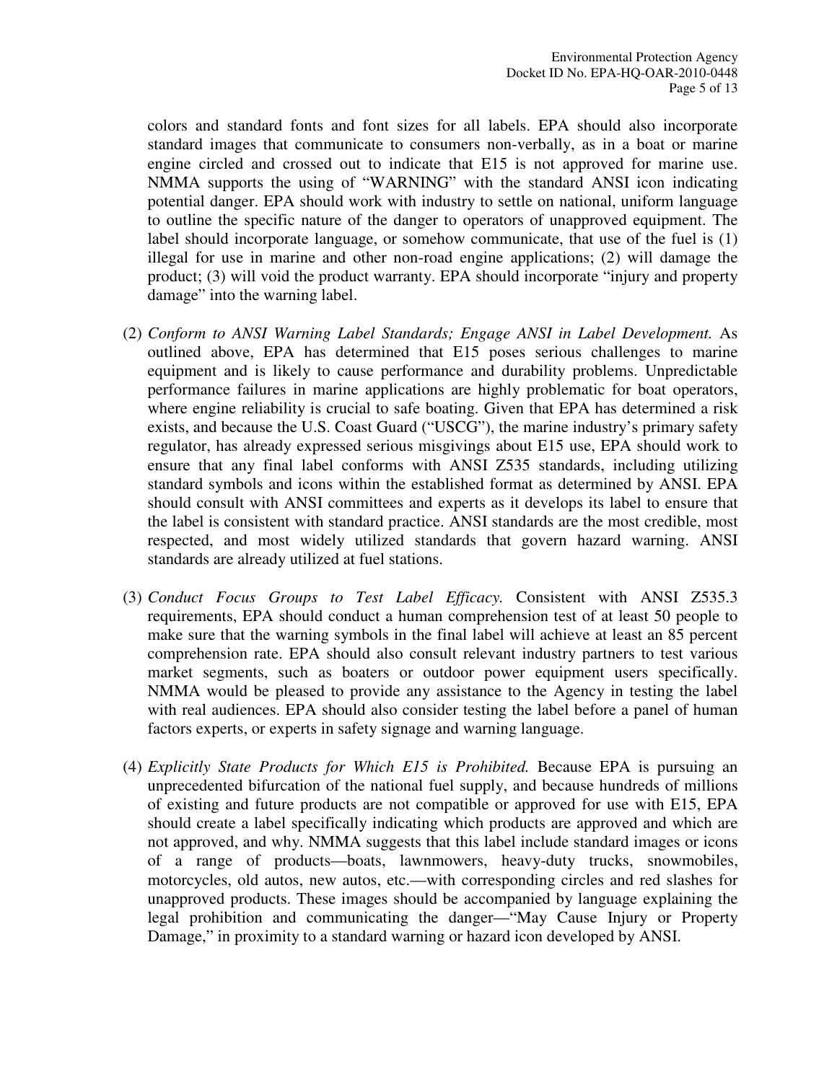colors and standard fonts and font sizes for all labels. EPA should also incorporate standard images that communicate to consumers non-verbally, as in a boat or marine engine circled and crossed out to indicate that E15 is not approved for marine use. NMMA supports the using of "WARNING" with the standard ANSI icon indicating potential danger. EPA should work with industry to settle on national, uniform language to outline the specific nature of the danger to operators of unapproved equipment. The label should incorporate language, or somehow communicate, that use of the fuel is (1) illegal for use in marine and other non-road engine applications; (2) will damage the product; (3) will void the product warranty. EPA should incorporate "injury and property damage" into the warning label.

- (2) *Conform to ANSI Warning Label Standards; Engage ANSI in Label Development.* As outlined above, EPA has determined that E15 poses serious challenges to marine equipment and is likely to cause performance and durability problems. Unpredictable performance failures in marine applications are highly problematic for boat operators, where engine reliability is crucial to safe boating. Given that EPA has determined a risk exists, and because the U.S. Coast Guard ("USCG"), the marine industry's primary safety regulator, has already expressed serious misgivings about E15 use, EPA should work to ensure that any final label conforms with ANSI Z535 standards, including utilizing standard symbols and icons within the established format as determined by ANSI. EPA should consult with ANSI committees and experts as it develops its label to ensure that the label is consistent with standard practice. ANSI standards are the most credible, most respected, and most widely utilized standards that govern hazard warning. ANSI standards are already utilized at fuel stations.
- (3) *Conduct Focus Groups to Test Label Efficacy.* Consistent with ANSI Z535.3 requirements, EPA should conduct a human comprehension test of at least 50 people to make sure that the warning symbols in the final label will achieve at least an 85 percent comprehension rate. EPA should also consult relevant industry partners to test various market segments, such as boaters or outdoor power equipment users specifically. NMMA would be pleased to provide any assistance to the Agency in testing the label with real audiences. EPA should also consider testing the label before a panel of human factors experts, or experts in safety signage and warning language.
- (4) *Explicitly State Products for Which E15 is Prohibited.* Because EPA is pursuing an unprecedented bifurcation of the national fuel supply, and because hundreds of millions of existing and future products are not compatible or approved for use with E15, EPA should create a label specifically indicating which products are approved and which are not approved, and why. NMMA suggests that this label include standard images or icons of a range of products—boats, lawnmowers, heavy-duty trucks, snowmobiles, motorcycles, old autos, new autos, etc.—with corresponding circles and red slashes for unapproved products. These images should be accompanied by language explaining the legal prohibition and communicating the danger—"May Cause Injury or Property Damage," in proximity to a standard warning or hazard icon developed by ANSI.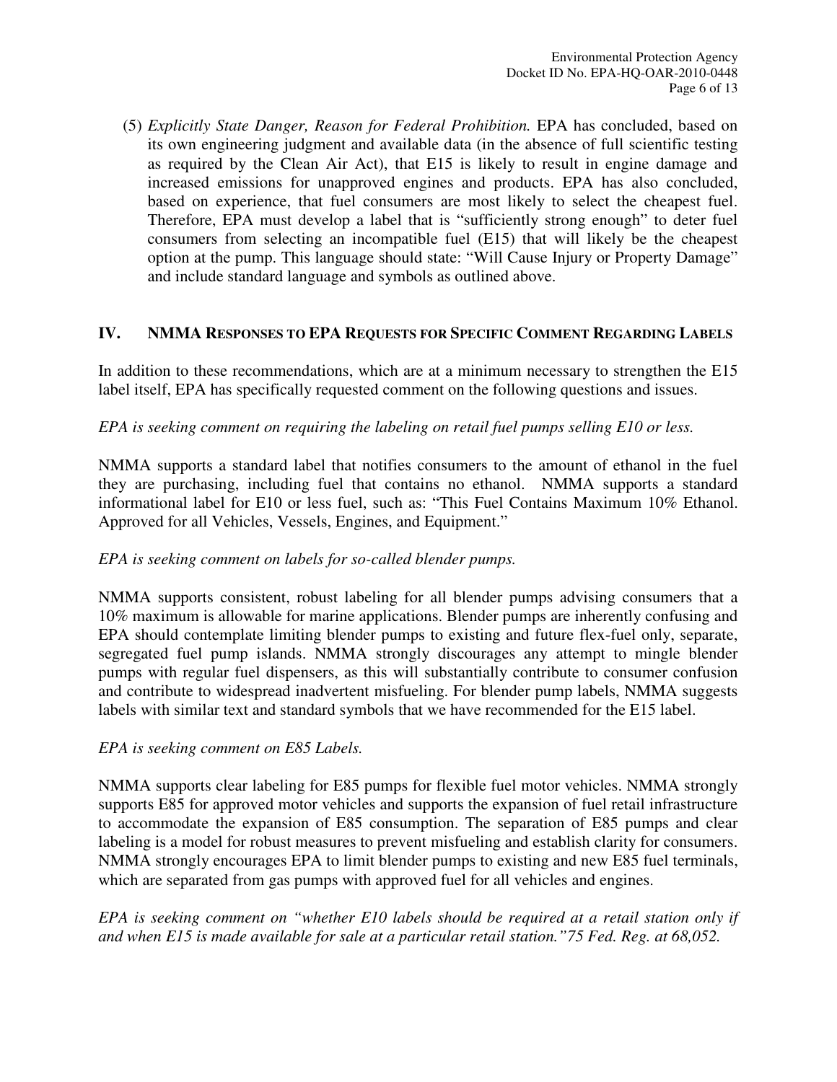(5) *Explicitly State Danger, Reason for Federal Prohibition.* EPA has concluded, based on its own engineering judgment and available data (in the absence of full scientific testing as required by the Clean Air Act), that E15 is likely to result in engine damage and increased emissions for unapproved engines and products. EPA has also concluded, based on experience, that fuel consumers are most likely to select the cheapest fuel. Therefore, EPA must develop a label that is "sufficiently strong enough" to deter fuel consumers from selecting an incompatible fuel (E15) that will likely be the cheapest option at the pump. This language should state: "Will Cause Injury or Property Damage" and include standard language and symbols as outlined above.

## **IV. NMMA RESPONSES TO EPA REQUESTS FOR SPECIFIC COMMENT REGARDING LABELS**

In addition to these recommendations, which are at a minimum necessary to strengthen the E15 label itself, EPA has specifically requested comment on the following questions and issues.

## *EPA is seeking comment on requiring the labeling on retail fuel pumps selling E10 or less.*

NMMA supports a standard label that notifies consumers to the amount of ethanol in the fuel they are purchasing, including fuel that contains no ethanol. NMMA supports a standard informational label for E10 or less fuel, such as: "This Fuel Contains Maximum 10% Ethanol. Approved for all Vehicles, Vessels, Engines, and Equipment."

## *EPA is seeking comment on labels for so-called blender pumps.*

NMMA supports consistent, robust labeling for all blender pumps advising consumers that a 10% maximum is allowable for marine applications. Blender pumps are inherently confusing and EPA should contemplate limiting blender pumps to existing and future flex-fuel only, separate, segregated fuel pump islands. NMMA strongly discourages any attempt to mingle blender pumps with regular fuel dispensers, as this will substantially contribute to consumer confusion and contribute to widespread inadvertent misfueling. For blender pump labels, NMMA suggests labels with similar text and standard symbols that we have recommended for the E15 label.

## *EPA is seeking comment on E85 Labels.*

NMMA supports clear labeling for E85 pumps for flexible fuel motor vehicles. NMMA strongly supports E85 for approved motor vehicles and supports the expansion of fuel retail infrastructure to accommodate the expansion of E85 consumption. The separation of E85 pumps and clear labeling is a model for robust measures to prevent misfueling and establish clarity for consumers. NMMA strongly encourages EPA to limit blender pumps to existing and new E85 fuel terminals, which are separated from gas pumps with approved fuel for all vehicles and engines.

*EPA is seeking comment on "whether E10 labels should be required at a retail station only if and when E15 is made available for sale at a particular retail station."75 Fed. Reg. at 68,052.*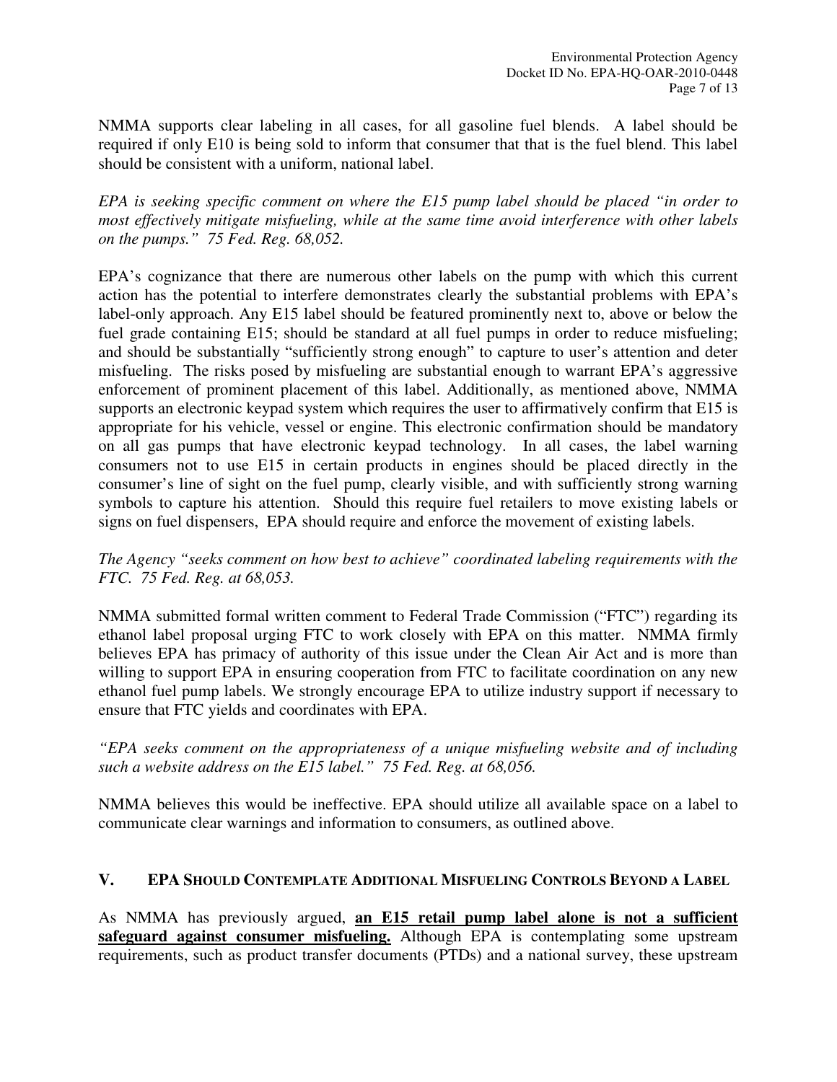NMMA supports clear labeling in all cases, for all gasoline fuel blends. A label should be required if only E10 is being sold to inform that consumer that that is the fuel blend. This label should be consistent with a uniform, national label.

*EPA is seeking specific comment on where the E15 pump label should be placed "in order to most effectively mitigate misfueling, while at the same time avoid interference with other labels on the pumps." 75 Fed. Reg. 68,052.* 

EPA's cognizance that there are numerous other labels on the pump with which this current action has the potential to interfere demonstrates clearly the substantial problems with EPA's label-only approach. Any E15 label should be featured prominently next to, above or below the fuel grade containing E15; should be standard at all fuel pumps in order to reduce misfueling; and should be substantially "sufficiently strong enough" to capture to user's attention and deter misfueling. The risks posed by misfueling are substantial enough to warrant EPA's aggressive enforcement of prominent placement of this label. Additionally, as mentioned above, NMMA supports an electronic keypad system which requires the user to affirmatively confirm that E15 is appropriate for his vehicle, vessel or engine. This electronic confirmation should be mandatory on all gas pumps that have electronic keypad technology. In all cases, the label warning consumers not to use E15 in certain products in engines should be placed directly in the consumer's line of sight on the fuel pump, clearly visible, and with sufficiently strong warning symbols to capture his attention. Should this require fuel retailers to move existing labels or signs on fuel dispensers, EPA should require and enforce the movement of existing labels.

*The Agency "seeks comment on how best to achieve" coordinated labeling requirements with the FTC. 75 Fed. Reg. at 68,053.* 

NMMA submitted formal written comment to Federal Trade Commission ("FTC") regarding its ethanol label proposal urging FTC to work closely with EPA on this matter. NMMA firmly believes EPA has primacy of authority of this issue under the Clean Air Act and is more than willing to support EPA in ensuring cooperation from FTC to facilitate coordination on any new ethanol fuel pump labels. We strongly encourage EPA to utilize industry support if necessary to ensure that FTC yields and coordinates with EPA.

*"EPA seeks comment on the appropriateness of a unique misfueling website and of including such a website address on the E15 label." 75 Fed. Reg. at 68,056.* 

NMMA believes this would be ineffective. EPA should utilize all available space on a label to communicate clear warnings and information to consumers, as outlined above.

## **V. EPA SHOULD CONTEMPLATE ADDITIONAL MISFUELING CONTROLS BEYOND A LABEL**

As NMMA has previously argued, **an E15 retail pump label alone is not a sufficient safeguard against consumer misfueling.** Although EPA is contemplating some upstream requirements, such as product transfer documents (PTDs) and a national survey, these upstream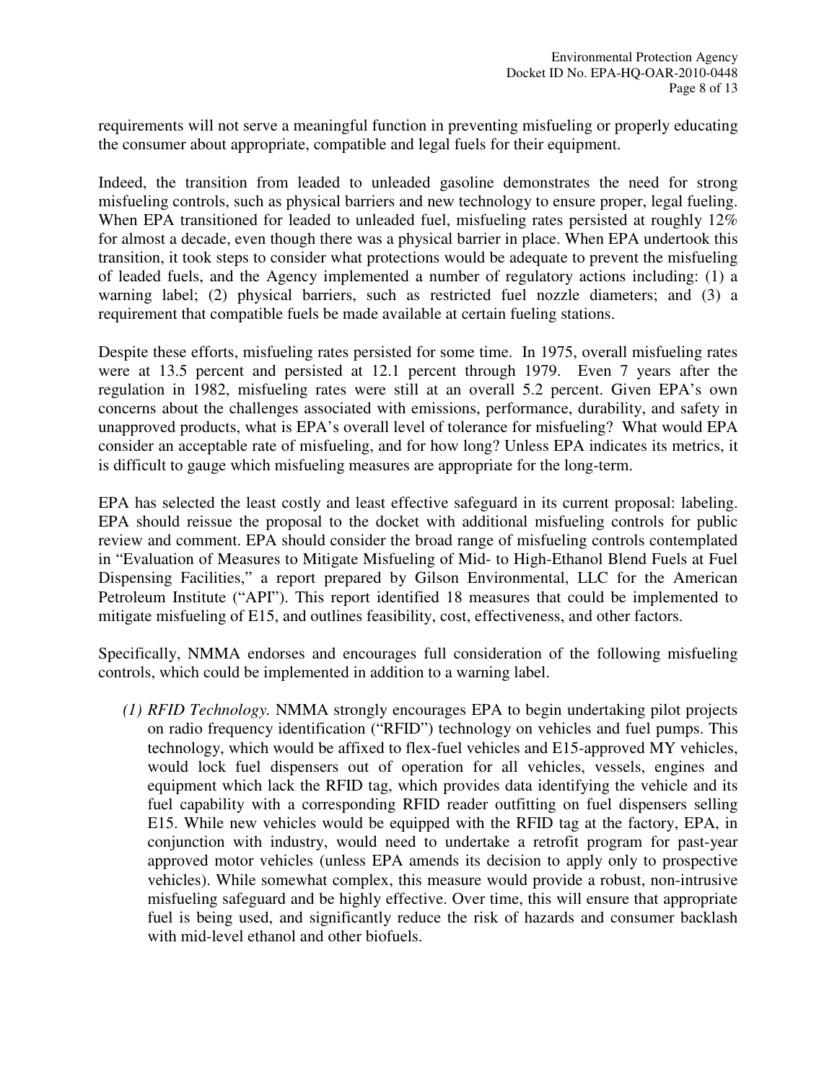requirements will not serve a meaningful function in preventing misfueling or properly educating the consumer about appropriate, compatible and legal fuels for their equipment.

Indeed, the transition from leaded to unleaded gasoline demonstrates the need for strong misfueling controls, such as physical barriers and new technology to ensure proper, legal fueling. When EPA transitioned for leaded to unleaded fuel, misfueling rates persisted at roughly 12% for almost a decade, even though there was a physical barrier in place. When EPA undertook this transition, it took steps to consider what protections would be adequate to prevent the misfueling of leaded fuels, and the Agency implemented a number of regulatory actions including: (1) a warning label; (2) physical barriers, such as restricted fuel nozzle diameters; and (3) a requirement that compatible fuels be made available at certain fueling stations.

Despite these efforts, misfueling rates persisted for some time. In 1975, overall misfueling rates were at 13.5 percent and persisted at 12.1 percent through 1979. Even 7 years after the regulation in 1982, misfueling rates were still at an overall 5.2 percent. Given EPA's own concerns about the challenges associated with emissions, performance, durability, and safety in unapproved products, what is EPA's overall level of tolerance for misfueling? What would EPA consider an acceptable rate of misfueling, and for how long? Unless EPA indicates its metrics, it is difficult to gauge which misfueling measures are appropriate for the long-term.

EPA has selected the least costly and least effective safeguard in its current proposal: labeling. EPA should reissue the proposal to the docket with additional misfueling controls for public review and comment. EPA should consider the broad range of misfueling controls contemplated in "Evaluation of Measures to Mitigate Misfueling of Mid- to High-Ethanol Blend Fuels at Fuel Dispensing Facilities," a report prepared by Gilson Environmental, LLC for the American Petroleum Institute ("API"). This report identified 18 measures that could be implemented to mitigate misfueling of E15, and outlines feasibility, cost, effectiveness, and other factors.

Specifically, NMMA endorses and encourages full consideration of the following misfueling controls, which could be implemented in addition to a warning label.

*(1) RFID Technology.* NMMA strongly encourages EPA to begin undertaking pilot projects on radio frequency identification ("RFID") technology on vehicles and fuel pumps. This technology, which would be affixed to flex-fuel vehicles and E15-approved MY vehicles, would lock fuel dispensers out of operation for all vehicles, vessels, engines and equipment which lack the RFID tag, which provides data identifying the vehicle and its fuel capability with a corresponding RFID reader outfitting on fuel dispensers selling E15. While new vehicles would be equipped with the RFID tag at the factory, EPA, in conjunction with industry, would need to undertake a retrofit program for past-year approved motor vehicles (unless EPA amends its decision to apply only to prospective vehicles). While somewhat complex, this measure would provide a robust, non-intrusive misfueling safeguard and be highly effective. Over time, this will ensure that appropriate fuel is being used, and significantly reduce the risk of hazards and consumer backlash with mid-level ethanol and other biofuels.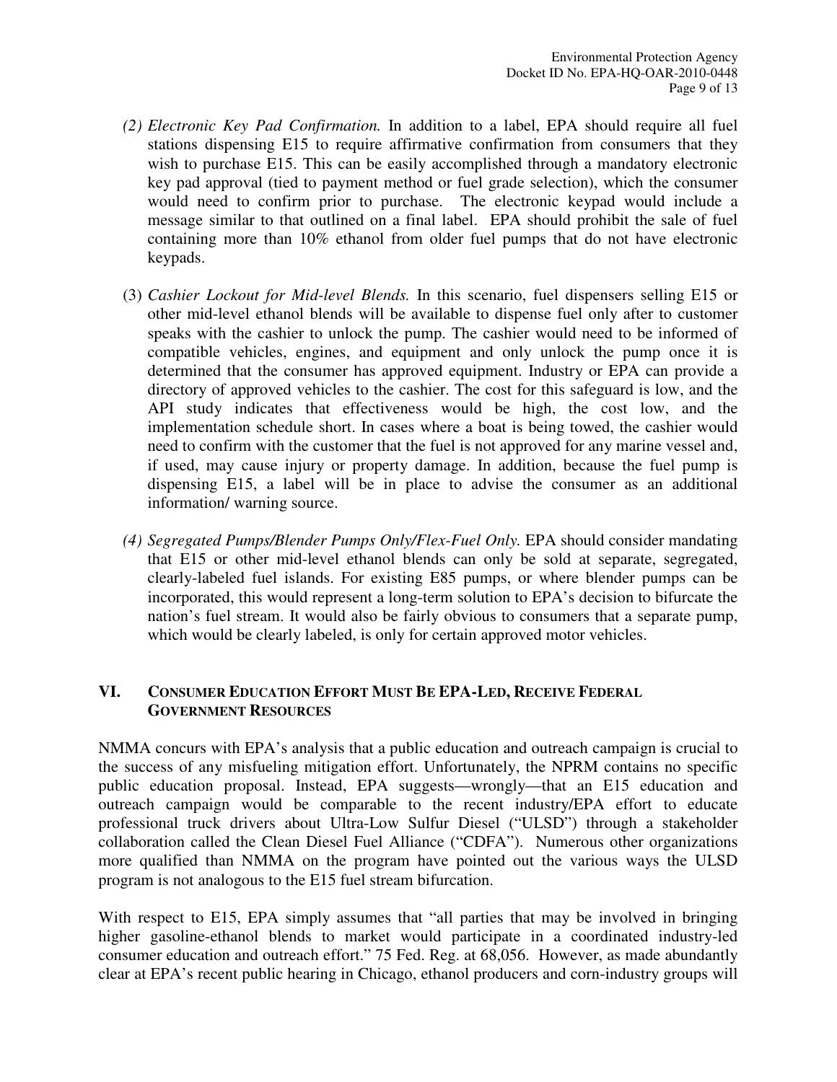- *(2) Electronic Key Pad Confirmation.* In addition to a label, EPA should require all fuel stations dispensing E15 to require affirmative confirmation from consumers that they wish to purchase E15. This can be easily accomplished through a mandatory electronic key pad approval (tied to payment method or fuel grade selection), which the consumer would need to confirm prior to purchase. The electronic keypad would include a message similar to that outlined on a final label. EPA should prohibit the sale of fuel containing more than 10% ethanol from older fuel pumps that do not have electronic keypads.
- (3) *Cashier Lockout for Mid-level Blends.* In this scenario, fuel dispensers selling E15 or other mid-level ethanol blends will be available to dispense fuel only after to customer speaks with the cashier to unlock the pump. The cashier would need to be informed of compatible vehicles, engines, and equipment and only unlock the pump once it is determined that the consumer has approved equipment. Industry or EPA can provide a directory of approved vehicles to the cashier. The cost for this safeguard is low, and the API study indicates that effectiveness would be high, the cost low, and the implementation schedule short. In cases where a boat is being towed, the cashier would need to confirm with the customer that the fuel is not approved for any marine vessel and, if used, may cause injury or property damage. In addition, because the fuel pump is dispensing E15, a label will be in place to advise the consumer as an additional information/ warning source.
- *(4) Segregated Pumps/Blender Pumps Only/Flex-Fuel Only.* EPA should consider mandating that E15 or other mid-level ethanol blends can only be sold at separate, segregated, clearly-labeled fuel islands. For existing E85 pumps, or where blender pumps can be incorporated, this would represent a long-term solution to EPA's decision to bifurcate the nation's fuel stream. It would also be fairly obvious to consumers that a separate pump, which would be clearly labeled, is only for certain approved motor vehicles.

# **VI. CONSUMER EDUCATION EFFORT MUST BE EPA-LED, RECEIVE FEDERAL GOVERNMENT RESOURCES**

NMMA concurs with EPA's analysis that a public education and outreach campaign is crucial to the success of any misfueling mitigation effort. Unfortunately, the NPRM contains no specific public education proposal. Instead, EPA suggests—wrongly—that an E15 education and outreach campaign would be comparable to the recent industry/EPA effort to educate professional truck drivers about Ultra-Low Sulfur Diesel ("ULSD") through a stakeholder collaboration called the Clean Diesel Fuel Alliance ("CDFA"). Numerous other organizations more qualified than NMMA on the program have pointed out the various ways the ULSD program is not analogous to the E15 fuel stream bifurcation.

With respect to E15, EPA simply assumes that "all parties that may be involved in bringing higher gasoline-ethanol blends to market would participate in a coordinated industry-led consumer education and outreach effort." 75 Fed. Reg. at 68,056. However, as made abundantly clear at EPA's recent public hearing in Chicago, ethanol producers and corn-industry groups will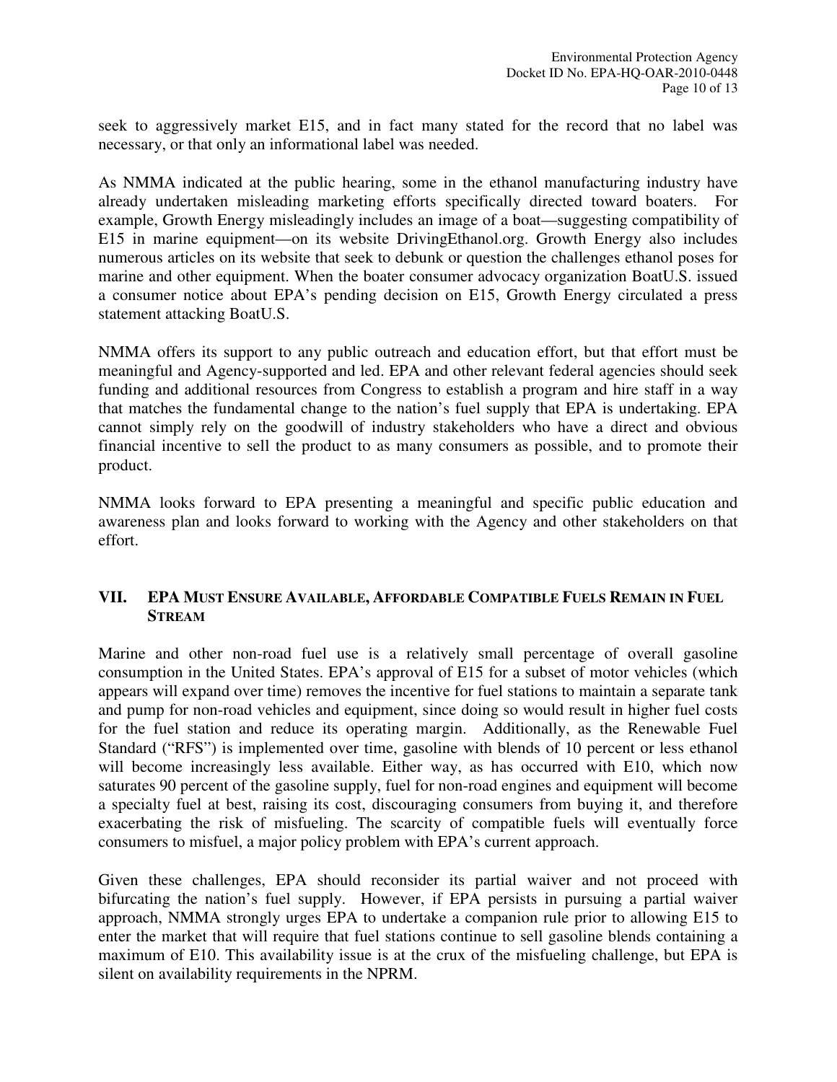seek to aggressively market E15, and in fact many stated for the record that no label was necessary, or that only an informational label was needed.

As NMMA indicated at the public hearing, some in the ethanol manufacturing industry have already undertaken misleading marketing efforts specifically directed toward boaters. For example, Growth Energy misleadingly includes an image of a boat—suggesting compatibility of E15 in marine equipment—on its website DrivingEthanol.org. Growth Energy also includes numerous articles on its website that seek to debunk or question the challenges ethanol poses for marine and other equipment. When the boater consumer advocacy organization BoatU.S. issued a consumer notice about EPA's pending decision on E15, Growth Energy circulated a press statement attacking BoatU.S.

NMMA offers its support to any public outreach and education effort, but that effort must be meaningful and Agency-supported and led. EPA and other relevant federal agencies should seek funding and additional resources from Congress to establish a program and hire staff in a way that matches the fundamental change to the nation's fuel supply that EPA is undertaking. EPA cannot simply rely on the goodwill of industry stakeholders who have a direct and obvious financial incentive to sell the product to as many consumers as possible, and to promote their product.

NMMA looks forward to EPA presenting a meaningful and specific public education and awareness plan and looks forward to working with the Agency and other stakeholders on that effort.

## **VII. EPA MUST ENSURE AVAILABLE, AFFORDABLE COMPATIBLE FUELS REMAIN IN FUEL STREAM**

Marine and other non-road fuel use is a relatively small percentage of overall gasoline consumption in the United States. EPA's approval of E15 for a subset of motor vehicles (which appears will expand over time) removes the incentive for fuel stations to maintain a separate tank and pump for non-road vehicles and equipment, since doing so would result in higher fuel costs for the fuel station and reduce its operating margin. Additionally, as the Renewable Fuel Standard ("RFS") is implemented over time, gasoline with blends of 10 percent or less ethanol will become increasingly less available. Either way, as has occurred with E10, which now saturates 90 percent of the gasoline supply, fuel for non-road engines and equipment will become a specialty fuel at best, raising its cost, discouraging consumers from buying it, and therefore exacerbating the risk of misfueling. The scarcity of compatible fuels will eventually force consumers to misfuel, a major policy problem with EPA's current approach.

Given these challenges, EPA should reconsider its partial waiver and not proceed with bifurcating the nation's fuel supply. However, if EPA persists in pursuing a partial waiver approach, NMMA strongly urges EPA to undertake a companion rule prior to allowing E15 to enter the market that will require that fuel stations continue to sell gasoline blends containing a maximum of E10. This availability issue is at the crux of the misfueling challenge, but EPA is silent on availability requirements in the NPRM.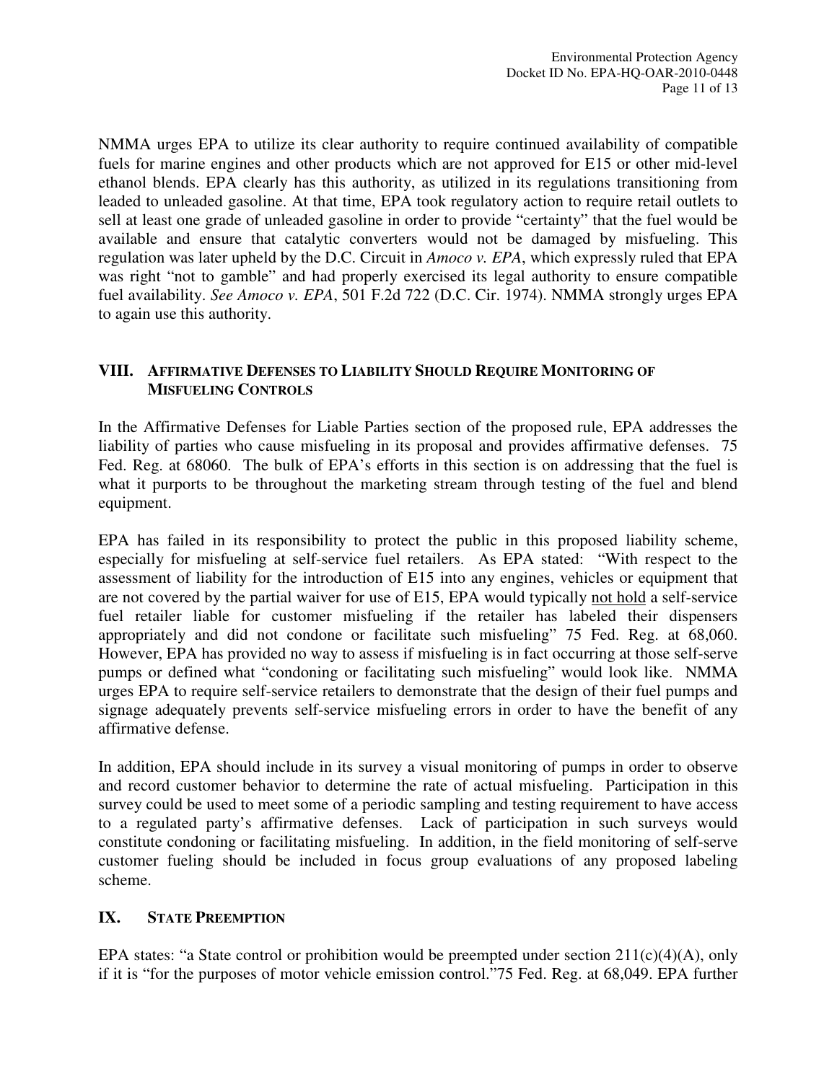NMMA urges EPA to utilize its clear authority to require continued availability of compatible fuels for marine engines and other products which are not approved for E15 or other mid-level ethanol blends. EPA clearly has this authority, as utilized in its regulations transitioning from leaded to unleaded gasoline. At that time, EPA took regulatory action to require retail outlets to sell at least one grade of unleaded gasoline in order to provide "certainty" that the fuel would be available and ensure that catalytic converters would not be damaged by misfueling. This regulation was later upheld by the D.C. Circuit in *Amoco v. EPA*, which expressly ruled that EPA was right "not to gamble" and had properly exercised its legal authority to ensure compatible fuel availability. *See Amoco v. EPA*, 501 F.2d 722 (D.C. Cir. 1974). NMMA strongly urges EPA to again use this authority.

## **VIII. AFFIRMATIVE DEFENSES TO LIABILITY SHOULD REQUIRE MONITORING OF MISFUELING CONTROLS**

In the Affirmative Defenses for Liable Parties section of the proposed rule, EPA addresses the liability of parties who cause misfueling in its proposal and provides affirmative defenses. 75 Fed. Reg. at 68060. The bulk of EPA's efforts in this section is on addressing that the fuel is what it purports to be throughout the marketing stream through testing of the fuel and blend equipment.

EPA has failed in its responsibility to protect the public in this proposed liability scheme, especially for misfueling at self-service fuel retailers. As EPA stated: "With respect to the assessment of liability for the introduction of E15 into any engines, vehicles or equipment that are not covered by the partial waiver for use of E15, EPA would typically not hold a self-service fuel retailer liable for customer misfueling if the retailer has labeled their dispensers appropriately and did not condone or facilitate such misfueling" 75 Fed. Reg. at 68,060. However, EPA has provided no way to assess if misfueling is in fact occurring at those self-serve pumps or defined what "condoning or facilitating such misfueling" would look like. NMMA urges EPA to require self-service retailers to demonstrate that the design of their fuel pumps and signage adequately prevents self-service misfueling errors in order to have the benefit of any affirmative defense.

In addition, EPA should include in its survey a visual monitoring of pumps in order to observe and record customer behavior to determine the rate of actual misfueling. Participation in this survey could be used to meet some of a periodic sampling and testing requirement to have access to a regulated party's affirmative defenses. Lack of participation in such surveys would constitute condoning or facilitating misfueling. In addition, in the field monitoring of self-serve customer fueling should be included in focus group evaluations of any proposed labeling scheme.

# **IX. STATE PREEMPTION**

EPA states: "a State control or prohibition would be preempted under section  $211(c)(4)(A)$ , only if it is "for the purposes of motor vehicle emission control."75 Fed. Reg. at 68,049. EPA further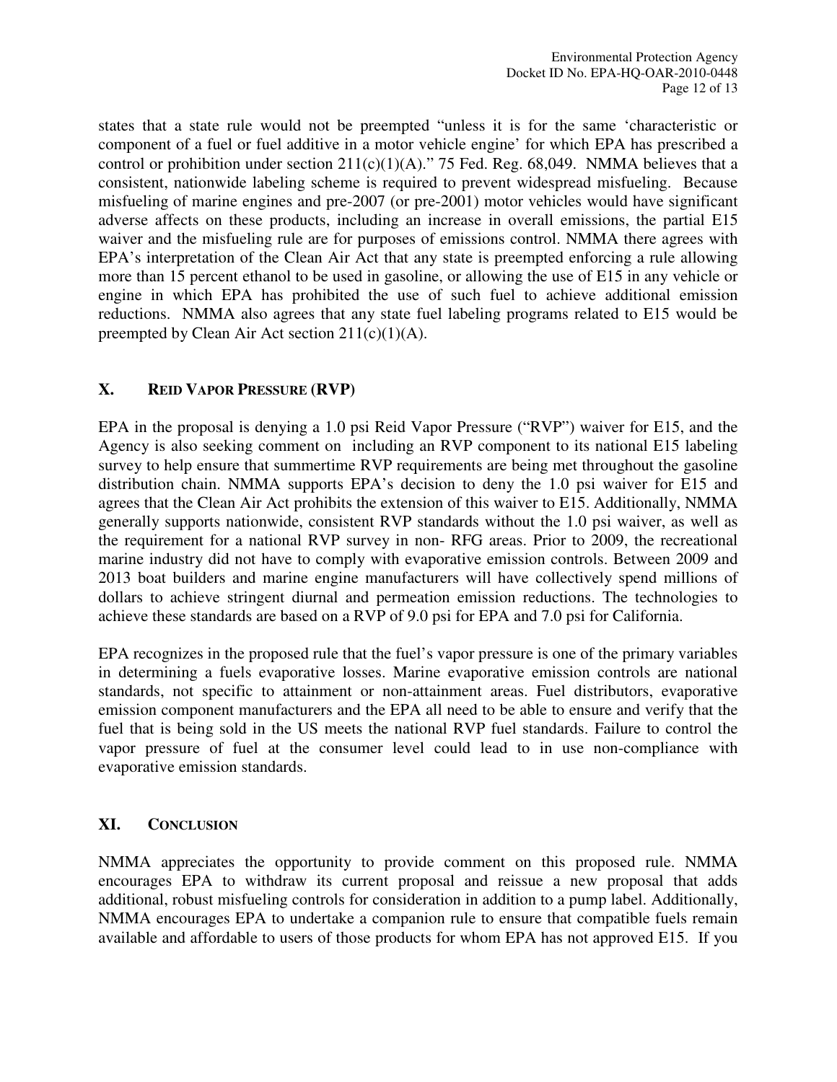states that a state rule would not be preempted "unless it is for the same 'characteristic or component of a fuel or fuel additive in a motor vehicle engine' for which EPA has prescribed a control or prohibition under section  $211(c)(1)(A)$ ." 75 Fed. Reg. 68,049. NMMA believes that a consistent, nationwide labeling scheme is required to prevent widespread misfueling. Because misfueling of marine engines and pre-2007 (or pre-2001) motor vehicles would have significant adverse affects on these products, including an increase in overall emissions, the partial E15 waiver and the misfueling rule are for purposes of emissions control. NMMA there agrees with EPA's interpretation of the Clean Air Act that any state is preempted enforcing a rule allowing more than 15 percent ethanol to be used in gasoline, or allowing the use of E15 in any vehicle or engine in which EPA has prohibited the use of such fuel to achieve additional emission reductions. NMMA also agrees that any state fuel labeling programs related to E15 would be preempted by Clean Air Act section  $211(c)(1)(A)$ .

## **X. REID VAPOR PRESSURE (RVP)**

EPA in the proposal is denying a 1.0 psi Reid Vapor Pressure ("RVP") waiver for E15, and the Agency is also seeking comment on including an RVP component to its national E15 labeling survey to help ensure that summertime RVP requirements are being met throughout the gasoline distribution chain. NMMA supports EPA's decision to deny the 1.0 psi waiver for E15 and agrees that the Clean Air Act prohibits the extension of this waiver to E15. Additionally, NMMA generally supports nationwide, consistent RVP standards without the 1.0 psi waiver, as well as the requirement for a national RVP survey in non- RFG areas. Prior to 2009, the recreational marine industry did not have to comply with evaporative emission controls. Between 2009 and 2013 boat builders and marine engine manufacturers will have collectively spend millions of dollars to achieve stringent diurnal and permeation emission reductions. The technologies to achieve these standards are based on a RVP of 9.0 psi for EPA and 7.0 psi for California.

EPA recognizes in the proposed rule that the fuel's vapor pressure is one of the primary variables in determining a fuels evaporative losses. Marine evaporative emission controls are national standards, not specific to attainment or non-attainment areas. Fuel distributors, evaporative emission component manufacturers and the EPA all need to be able to ensure and verify that the fuel that is being sold in the US meets the national RVP fuel standards. Failure to control the vapor pressure of fuel at the consumer level could lead to in use non-compliance with evaporative emission standards.

## **XI. CONCLUSION**

NMMA appreciates the opportunity to provide comment on this proposed rule. NMMA encourages EPA to withdraw its current proposal and reissue a new proposal that adds additional, robust misfueling controls for consideration in addition to a pump label. Additionally, NMMA encourages EPA to undertake a companion rule to ensure that compatible fuels remain available and affordable to users of those products for whom EPA has not approved E15. If you